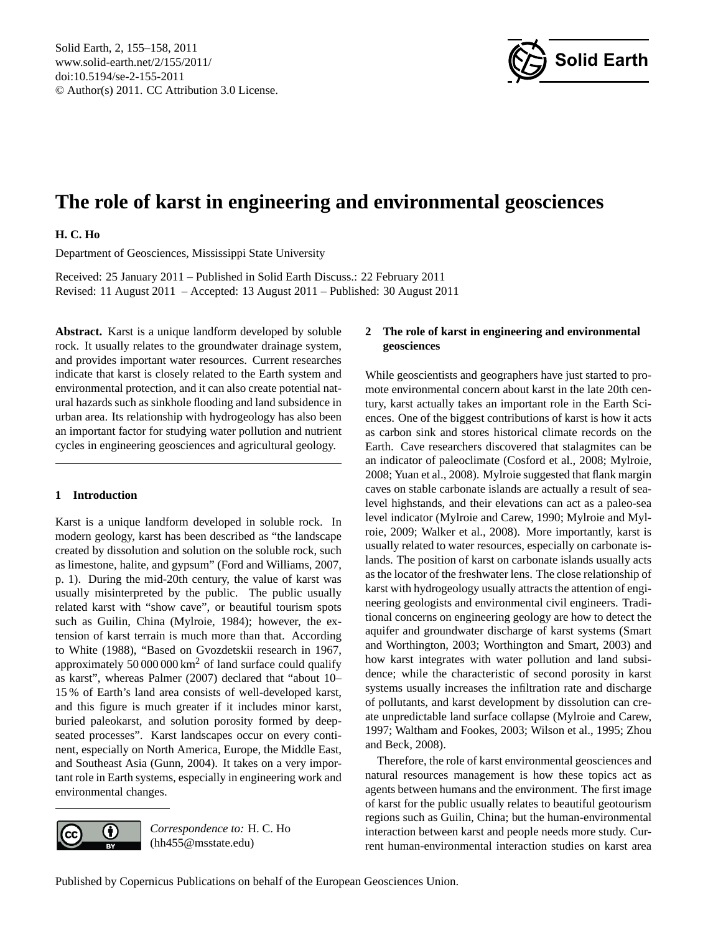<span id="page-0-0"></span>Solid Earth, 2, 155–158, 2011 www.solid-earth.net/2/155/2011/ doi:10.5194/se-2-155-2011 © Author(s) 2011. CC Attribution 3.0 License.



# **The role of karst in engineering and environmental geosciences**

# **H. C. Ho**

Department of Geosciences, Mississippi State University

Received: 25 January 2011 – Published in Solid Earth Discuss.: 22 February 2011 Revised: 11 August 2011 – Accepted: 13 August 2011 – Published: 30 August 2011

**Abstract.** Karst is a unique landform developed by soluble rock. It usually relates to the groundwater drainage system, and provides important water resources. Current researches indicate that karst is closely related to the Earth system and environmental protection, and it can also create potential natural hazards such as sinkhole flooding and land subsidence in urban area. Its relationship with hydrogeology has also been an important factor for studying water pollution and nutrient cycles in engineering geosciences and agricultural geology.

# **1 Introduction**

Karst is a unique landform developed in soluble rock. In modern geology, karst has been described as "the landscape created by dissolution and solution on the soluble rock, such as limestone, halite, and gypsum" (Ford and Williams, 2007, p. 1). During the mid-20th century, the value of karst was usually misinterpreted by the public. The public usually related karst with "show cave", or beautiful tourism spots such as Guilin, China (Mylroie, 1984); however, the extension of karst terrain is much more than that. According to White (1988), "Based on Gvozdetskii research in 1967, approximately  $50000000 \text{ km}^2$  of land surface could qualify as karst", whereas Palmer (2007) declared that "about 10– 15 % of Earth's land area consists of well-developed karst, and this figure is much greater if it includes minor karst, buried paleokarst, and solution porosity formed by deepseated processes". Karst landscapes occur on every continent, especially on North America, Europe, the Middle East, and Southeast Asia (Gunn, 2004). It takes on a very important role in Earth systems, especially in engineering work and environmental changes.



*Correspondence to:* H. C. Ho (hh455@msstate.edu)

### **2 The role of karst in engineering and environmental geosciences**

While geoscientists and geographers have just started to promote environmental concern about karst in the late 20th century, karst actually takes an important role in the Earth Sciences. One of the biggest contributions of karst is how it acts as carbon sink and stores historical climate records on the Earth. Cave researchers discovered that stalagmites can be an indicator of paleoclimate (Cosford et al., 2008; Mylroie, 2008; Yuan et al., 2008). Mylroie suggested that flank margin caves on stable carbonate islands are actually a result of sealevel highstands, and their elevations can act as a paleo-sea level indicator (Mylroie and Carew, 1990; Mylroie and Mylroie, 2009; Walker et al., 2008). More importantly, karst is usually related to water resources, especially on carbonate islands. The position of karst on carbonate islands usually acts as the locator of the freshwater lens. The close relationship of karst with hydrogeology usually attracts the attention of engineering geologists and environmental civil engineers. Traditional concerns on engineering geology are how to detect the aquifer and groundwater discharge of karst systems (Smart and Worthington, 2003; Worthington and Smart, 2003) and how karst integrates with water pollution and land subsidence; while the characteristic of second porosity in karst systems usually increases the infiltration rate and discharge of pollutants, and karst development by dissolution can create unpredictable land surface collapse (Mylroie and Carew, 1997; Waltham and Fookes, 2003; Wilson et al., 1995; Zhou and Beck, 2008).

Therefore, the role of karst environmental geosciences and natural resources management is how these topics act as agents between humans and the environment. The first image of karst for the public usually relates to beautiful geotourism regions such as Guilin, China; but the human-environmental interaction between karst and people needs more study. Current human-environmental interaction studies on karst area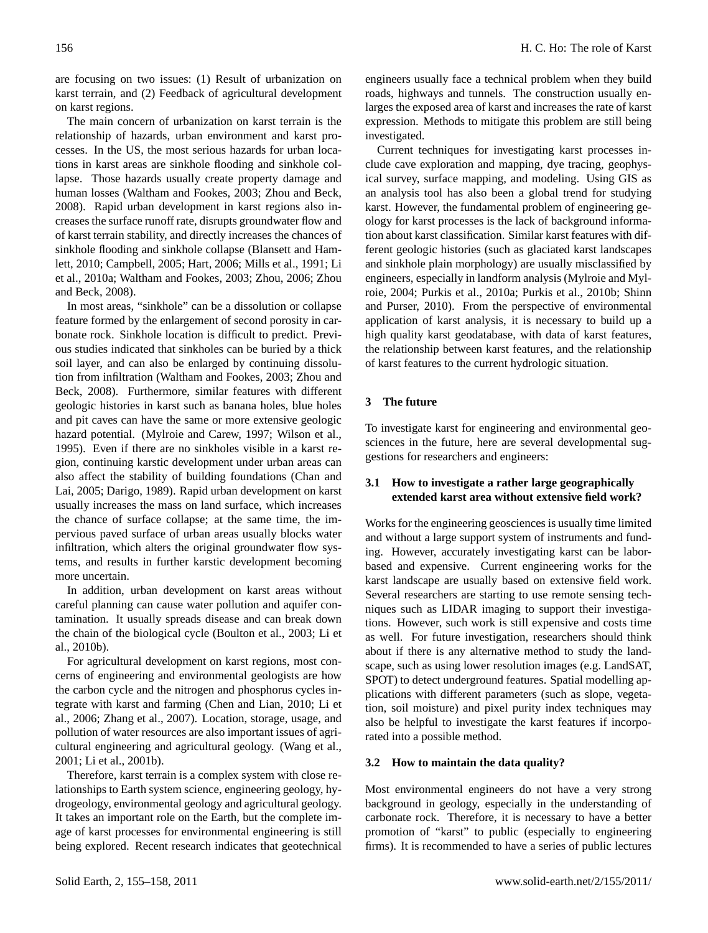are focusing on two issues: (1) Result of urbanization on karst terrain, and (2) Feedback of agricultural development on karst regions.

The main concern of urbanization on karst terrain is the relationship of hazards, urban environment and karst processes. In the US, the most serious hazards for urban locations in karst areas are sinkhole flooding and sinkhole collapse. Those hazards usually create property damage and human losses (Waltham and Fookes, 2003; Zhou and Beck, 2008). Rapid urban development in karst regions also increases the surface runoff rate, disrupts groundwater flow and of karst terrain stability, and directly increases the chances of sinkhole flooding and sinkhole collapse (Blansett and Hamlett, 2010; Campbell, 2005; Hart, 2006; Mills et al., 1991; Li et al., 2010a; Waltham and Fookes, 2003; Zhou, 2006; Zhou and Beck, 2008).

In most areas, "sinkhole" can be a dissolution or collapse feature formed by the enlargement of second porosity in carbonate rock. Sinkhole location is difficult to predict. Previous studies indicated that sinkholes can be buried by a thick soil layer, and can also be enlarged by continuing dissolution from infiltration (Waltham and Fookes, 2003; Zhou and Beck, 2008). Furthermore, similar features with different geologic histories in karst such as banana holes, blue holes and pit caves can have the same or more extensive geologic hazard potential. (Mylroie and Carew, 1997; Wilson et al., 1995). Even if there are no sinkholes visible in a karst region, continuing karstic development under urban areas can also affect the stability of building foundations (Chan and Lai, 2005; Darigo, 1989). Rapid urban development on karst usually increases the mass on land surface, which increases the chance of surface collapse; at the same time, the impervious paved surface of urban areas usually blocks water infiltration, which alters the original groundwater flow systems, and results in further karstic development becoming more uncertain.

In addition, urban development on karst areas without careful planning can cause water pollution and aquifer contamination. It usually spreads disease and can break down the chain of the biological cycle (Boulton et al., 2003; Li et al., 2010b).

For agricultural development on karst regions, most concerns of engineering and environmental geologists are how the carbon cycle and the nitrogen and phosphorus cycles integrate with karst and farming (Chen and Lian, 2010; Li et al., 2006; Zhang et al., 2007). Location, storage, usage, and pollution of water resources are also important issues of agricultural engineering and agricultural geology. (Wang et al., 2001; Li et al., 2001b).

Therefore, karst terrain is a complex system with close relationships to Earth system science, engineering geology, hydrogeology, environmental geology and agricultural geology. It takes an important role on the Earth, but the complete image of karst processes for environmental engineering is still being explored. Recent research indicates that geotechnical

engineers usually face a technical problem when they build roads, highways and tunnels. The construction usually enlarges the exposed area of karst and increases the rate of karst expression. Methods to mitigate this problem are still being investigated.

Current techniques for investigating karst processes include cave exploration and mapping, dye tracing, geophysical survey, surface mapping, and modeling. Using GIS as an analysis tool has also been a global trend for studying karst. However, the fundamental problem of engineering geology for karst processes is the lack of background information about karst classification. Similar karst features with different geologic histories (such as glaciated karst landscapes and sinkhole plain morphology) are usually misclassified by engineers, especially in landform analysis (Mylroie and Mylroie, 2004; Purkis et al., 2010a; Purkis et al., 2010b; Shinn and Purser, 2010). From the perspective of environmental application of karst analysis, it is necessary to build up a high quality karst geodatabase, with data of karst features, the relationship between karst features, and the relationship of karst features to the current hydrologic situation.

# **3 The future**

To investigate karst for engineering and environmental geosciences in the future, here are several developmental suggestions for researchers and engineers:

# **3.1 How to investigate a rather large geographically extended karst area without extensive field work?**

Works for the engineering geosciences is usually time limited and without a large support system of instruments and funding. However, accurately investigating karst can be laborbased and expensive. Current engineering works for the karst landscape are usually based on extensive field work. Several researchers are starting to use remote sensing techniques such as LIDAR imaging to support their investigations. However, such work is still expensive and costs time as well. For future investigation, researchers should think about if there is any alternative method to study the landscape, such as using lower resolution images (e.g. LandSAT, SPOT) to detect underground features. Spatial modelling applications with different parameters (such as slope, vegetation, soil moisture) and pixel purity index techniques may also be helpful to investigate the karst features if incorporated into a possible method.

# **3.2 How to maintain the data quality?**

Most environmental engineers do not have a very strong background in geology, especially in the understanding of carbonate rock. Therefore, it is necessary to have a better promotion of "karst" to public (especially to engineering firms). It is recommended to have a series of public lectures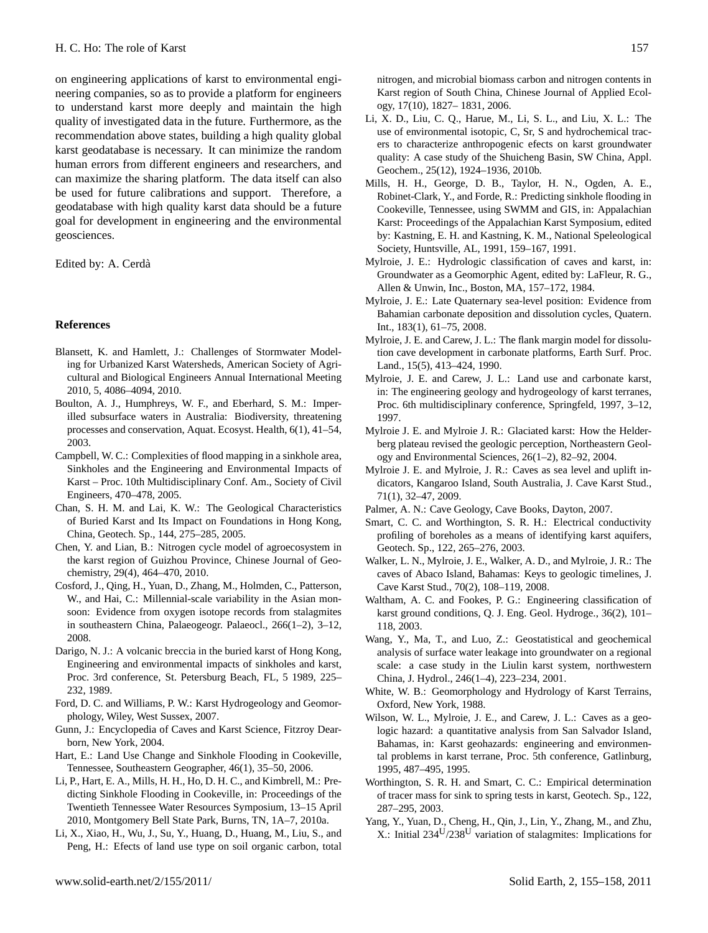on engineering applications of karst to environmental engineering companies, so as to provide a platform for engineers to understand karst more deeply and maintain the high quality of investigated data in the future. Furthermore, as the recommendation above states, building a high quality global karst geodatabase is necessary. It can minimize the random human errors from different engineers and researchers, and can maximize the sharing platform. The data itself can also be used for future calibrations and support. Therefore, a geodatabase with high quality karst data should be a future goal for development in engineering and the environmental geosciences.

Edited by: A. Cerda`

#### **References**

- Blansett, K. and Hamlett, J.: Challenges of Stormwater Modeling for Urbanized Karst Watersheds, American Society of Agricultural and Biological Engineers Annual International Meeting 2010, 5, 4086–4094, 2010.
- Boulton, A. J., Humphreys, W. F., and Eberhard, S. M.: Imperilled subsurface waters in Australia: Biodiversity, threatening processes and conservation, Aquat. Ecosyst. Health, 6(1), 41–54, 2003.
- Campbell, W. C.: Complexities of flood mapping in a sinkhole area, Sinkholes and the Engineering and Environmental Impacts of Karst – Proc. 10th Multidisciplinary Conf. Am., Society of Civil Engineers, 470–478, 2005.
- Chan, S. H. M. and Lai, K. W.: The Geological Characteristics of Buried Karst and Its Impact on Foundations in Hong Kong, China, Geotech. Sp., 144, 275–285, 2005.
- Chen, Y. and Lian, B.: Nitrogen cycle model of agroecosystem in the karst region of Guizhou Province, Chinese Journal of Geochemistry, 29(4), 464–470, 2010.
- Cosford, J., Qing, H., Yuan, D., Zhang, M., Holmden, C., Patterson, W., and Hai, C.: Millennial-scale variability in the Asian monsoon: Evidence from oxygen isotope records from stalagmites in southeastern China, Palaeogeogr. Palaeocl., 266(1–2), 3–12, 2008.
- Darigo, N. J.: A volcanic breccia in the buried karst of Hong Kong, Engineering and environmental impacts of sinkholes and karst, Proc. 3rd conference, St. Petersburg Beach, FL, 5 1989, 225– 232, 1989.
- Ford, D. C. and Williams, P. W.: Karst Hydrogeology and Geomorphology, Wiley, West Sussex, 2007.
- Gunn, J.: Encyclopedia of Caves and Karst Science, Fitzroy Dearborn, New York, 2004.
- Hart, E.: Land Use Change and Sinkhole Flooding in Cookeville, Tennessee, Southeastern Geographer, 46(1), 35–50, 2006.
- Li, P., Hart, E. A., Mills, H. H., Ho, D. H. C., and Kimbrell, M.: Predicting Sinkhole Flooding in Cookeville, in: Proceedings of the Twentieth Tennessee Water Resources Symposium, 13–15 April 2010, Montgomery Bell State Park, Burns, TN, 1A–7, 2010a.
- Li, X., Xiao, H., Wu, J., Su, Y., Huang, D., Huang, M., Liu, S., and Peng, H.: Efects of land use type on soil organic carbon, total

nitrogen, and microbial biomass carbon and nitrogen contents in Karst region of South China, Chinese Journal of Applied Ecology, 17(10), 1827– 1831, 2006.

- Li, X. D., Liu, C. Q., Harue, M., Li, S. L., and Liu, X. L.: The use of environmental isotopic, C, Sr, S and hydrochemical tracers to characterize anthropogenic efects on karst groundwater quality: A case study of the Shuicheng Basin, SW China, Appl. Geochem., 25(12), 1924–1936, 2010b.
- Mills, H. H., George, D. B., Taylor, H. N., Ogden, A. E., Robinet-Clark, Y., and Forde, R.: Predicting sinkhole flooding in Cookeville, Tennessee, using SWMM and GIS, in: Appalachian Karst: Proceedings of the Appalachian Karst Symposium, edited by: Kastning, E. H. and Kastning, K. M., National Speleological Society, Huntsville, AL, 1991, 159–167, 1991.
- Mylroie, J. E.: Hydrologic classification of caves and karst, in: Groundwater as a Geomorphic Agent, edited by: LaFleur, R. G., Allen & Unwin, Inc., Boston, MA, 157–172, 1984.
- Mylroie, J. E.: Late Quaternary sea-level position: Evidence from Bahamian carbonate deposition and dissolution cycles, Quatern. Int., 183(1), 61–75, 2008.
- Mylroie, J. E. and Carew, J. L.: The flank margin model for dissolution cave development in carbonate platforms, Earth Surf. Proc. Land., 15(5), 413–424, 1990.
- Mylroie, J. E. and Carew, J. L.: Land use and carbonate karst, in: The engineering geology and hydrogeology of karst terranes, Proc. 6th multidisciplinary conference, Springfeld, 1997, 3–12, 1997.
- Mylroie J. E. and Mylroie J. R.: Glaciated karst: How the Helderberg plateau revised the geologic perception, Northeastern Geology and Environmental Sciences, 26(1–2), 82–92, 2004.
- Mylroie J. E. and Mylroie, J. R.: Caves as sea level and uplift indicators, Kangaroo Island, South Australia, J. Cave Karst Stud., 71(1), 32–47, 2009.
- Palmer, A. N.: Cave Geology, Cave Books, Dayton, 2007.
- Smart, C. C. and Worthington, S. R. H.: Electrical conductivity profiling of boreholes as a means of identifying karst aquifers, Geotech. Sp., 122, 265–276, 2003.
- Walker, L. N., Mylroie, J. E., Walker, A. D., and Mylroie, J. R.: The caves of Abaco Island, Bahamas: Keys to geologic timelines, J. Cave Karst Stud., 70(2), 108–119, 2008.
- Waltham, A. C. and Fookes, P. G.: Engineering classification of karst ground conditions, Q. J. Eng. Geol. Hydroge., 36(2), 101– 118, 2003.
- Wang, Y., Ma, T., and Luo, Z.: Geostatistical and geochemical analysis of surface water leakage into groundwater on a regional scale: a case study in the Liulin karst system, northwestern China, J. Hydrol., 246(1–4), 223–234, 2001.
- White, W. B.: Geomorphology and Hydrology of Karst Terrains, Oxford, New York, 1988.
- Wilson, W. L., Mylroie, J. E., and Carew, J. L.: Caves as a geologic hazard: a quantitative analysis from San Salvador Island, Bahamas, in: Karst geohazards: engineering and environmental problems in karst terrane, Proc. 5th conference, Gatlinburg, 1995, 487–495, 1995.
- Worthington, S. R. H. and Smart, C. C.: Empirical determination of tracer mass for sink to spring tests in karst, Geotech. Sp., 122, 287–295, 2003.
- Yang, Y., Yuan, D., Cheng, H., Qin, J., Lin, Y., Zhang, M., and Zhu, X.: Initial 234U/238<sup>U</sup> variation of stalagmites: Implications for